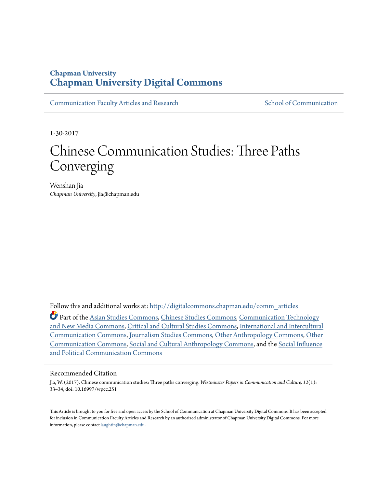## **Chapman University [Chapman University Digital Commons](http://digitalcommons.chapman.edu?utm_source=digitalcommons.chapman.edu%2Fcomm_articles%2F30&utm_medium=PDF&utm_campaign=PDFCoverPages)**

[Communication Faculty Articles and Research](http://digitalcommons.chapman.edu/comm_articles?utm_source=digitalcommons.chapman.edu%2Fcomm_articles%2F30&utm_medium=PDF&utm_campaign=PDFCoverPages) [School of Communication](http://digitalcommons.chapman.edu/communication?utm_source=digitalcommons.chapman.edu%2Fcomm_articles%2F30&utm_medium=PDF&utm_campaign=PDFCoverPages)

1-30-2017

# Chinese Communication Studies: Three Paths Converging

Wenshan Jia *Chapman University*, jia@chapman.edu

Follow this and additional works at: [http://digitalcommons.chapman.edu/comm\\_articles](http://digitalcommons.chapman.edu/comm_articles?utm_source=digitalcommons.chapman.edu%2Fcomm_articles%2F30&utm_medium=PDF&utm_campaign=PDFCoverPages)

Part of the [Asian Studies Commons,](http://network.bepress.com/hgg/discipline/361?utm_source=digitalcommons.chapman.edu%2Fcomm_articles%2F30&utm_medium=PDF&utm_campaign=PDFCoverPages) [Chinese Studies Commons,](http://network.bepress.com/hgg/discipline/1081?utm_source=digitalcommons.chapman.edu%2Fcomm_articles%2F30&utm_medium=PDF&utm_campaign=PDFCoverPages) [Communication Technology](http://network.bepress.com/hgg/discipline/327?utm_source=digitalcommons.chapman.edu%2Fcomm_articles%2F30&utm_medium=PDF&utm_campaign=PDFCoverPages) [and New Media Commons](http://network.bepress.com/hgg/discipline/327?utm_source=digitalcommons.chapman.edu%2Fcomm_articles%2F30&utm_medium=PDF&utm_campaign=PDFCoverPages), [Critical and Cultural Studies Commons,](http://network.bepress.com/hgg/discipline/328?utm_source=digitalcommons.chapman.edu%2Fcomm_articles%2F30&utm_medium=PDF&utm_campaign=PDFCoverPages) [International and Intercultural](http://network.bepress.com/hgg/discipline/331?utm_source=digitalcommons.chapman.edu%2Fcomm_articles%2F30&utm_medium=PDF&utm_campaign=PDFCoverPages) [Communication Commons,](http://network.bepress.com/hgg/discipline/331?utm_source=digitalcommons.chapman.edu%2Fcomm_articles%2F30&utm_medium=PDF&utm_campaign=PDFCoverPages) [Journalism Studies Commons,](http://network.bepress.com/hgg/discipline/333?utm_source=digitalcommons.chapman.edu%2Fcomm_articles%2F30&utm_medium=PDF&utm_campaign=PDFCoverPages) [Other Anthropology Commons,](http://network.bepress.com/hgg/discipline/324?utm_source=digitalcommons.chapman.edu%2Fcomm_articles%2F30&utm_medium=PDF&utm_campaign=PDFCoverPages) [Other](http://network.bepress.com/hgg/discipline/339?utm_source=digitalcommons.chapman.edu%2Fcomm_articles%2F30&utm_medium=PDF&utm_campaign=PDFCoverPages) [Communication Commons,](http://network.bepress.com/hgg/discipline/339?utm_source=digitalcommons.chapman.edu%2Fcomm_articles%2F30&utm_medium=PDF&utm_campaign=PDFCoverPages) [Social and Cultural Anthropology Commons,](http://network.bepress.com/hgg/discipline/323?utm_source=digitalcommons.chapman.edu%2Fcomm_articles%2F30&utm_medium=PDF&utm_campaign=PDFCoverPages) and the [Social Influence](http://network.bepress.com/hgg/discipline/337?utm_source=digitalcommons.chapman.edu%2Fcomm_articles%2F30&utm_medium=PDF&utm_campaign=PDFCoverPages) [and Political Communication Commons](http://network.bepress.com/hgg/discipline/337?utm_source=digitalcommons.chapman.edu%2Fcomm_articles%2F30&utm_medium=PDF&utm_campaign=PDFCoverPages)

#### Recommended Citation

Jia, W. (2017). Chinese communication studies: Three paths converging. *Westminster Papers in Communication and Culture, 12*(1): 33–34, doi: 10.16997/wpcc.251

This Article is brought to you for free and open access by the School of Communication at Chapman University Digital Commons. It has been accepted for inclusion in Communication Faculty Articles and Research by an authorized administrator of Chapman University Digital Commons. For more information, please contact [laughtin@chapman.edu](mailto:laughtin@chapman.edu).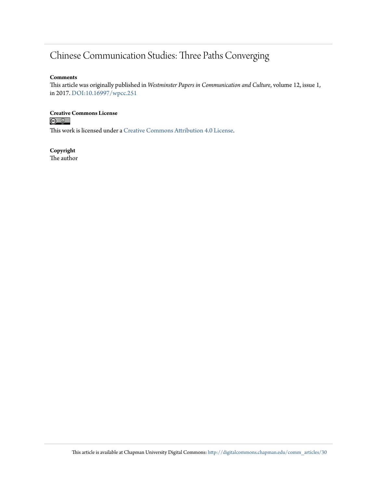## Chinese Communication Studies: Three Paths Converging

#### **Comments**

This article was originally published in *Westminster Papers in Communication and Culture*, volume 12, issue 1, in 2017. [DOI:10.16997/wpcc.251](http://dx.doi.org/10.16997/wpcc.251)

## **Creative Commons License**<br> **<b>C** <u>**Q Q**</u>

This work is licensed under a [Creative Commons Attribution 4.0 License.](http://creativecommons.org/licenses/by/4.0/)

### **Copyright**

The author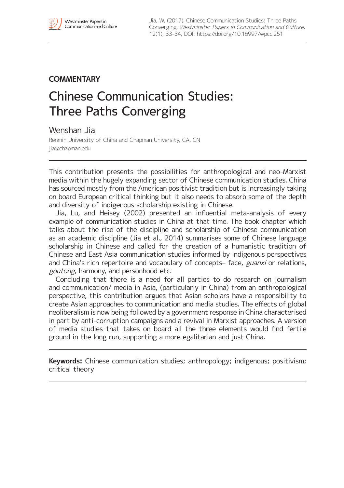## **COMMENTARY**

## Chinese Communication Studies: Three Paths Converging

Wenshan Jia

Renmin University of China and Chapman University, CA, CN [jia@chapman.edu](mailto:jia@chapman.edu)

This contribution presents the possibilities for anthropological and neo-Marxist media within the hugely expanding sector of Chinese communication studies. China has sourced mostly from the American positivist tradition but is increasingly taking on board European critical thinking but it also needs to absorb some of the depth and diversity of indigenous scholarship existing in Chinese.

Jia, Lu, and Heisey (2002) presented an influential meta-analysis of every example of communication studies in China at that time. The book chapter which talks about the rise of the discipline and scholarship of Chinese communication as an academic discipline (Jia et al., 2014) summarises some of Chinese language scholarship in Chinese and called for the creation of a humanistic tradition of Chinese and East Asia communication studies informed by indigenous perspectives and China's rich repertoire and vocabulary of concepts- face, guanxi or relations, goutong, harmony, and personhood etc.

Concluding that there is a need for all parties to do research on journalism and communication/ media in Asia, (particularly in China) from an anthropological perspective, this contribution argues that Asian scholars have a responsibility to create Asian approaches to communication and media studies. The effects of global neoliberalism is now being followed by a government response in China characterised in part by anti-corruption campaigns and a revival in Marxist approaches. A version of media studies that takes on board all the three elements would find fertile ground in the long run, supporting a more egalitarian and just China.

**Keywords:** Chinese communication studies; anthropology; indigenous; positivism; critical theory